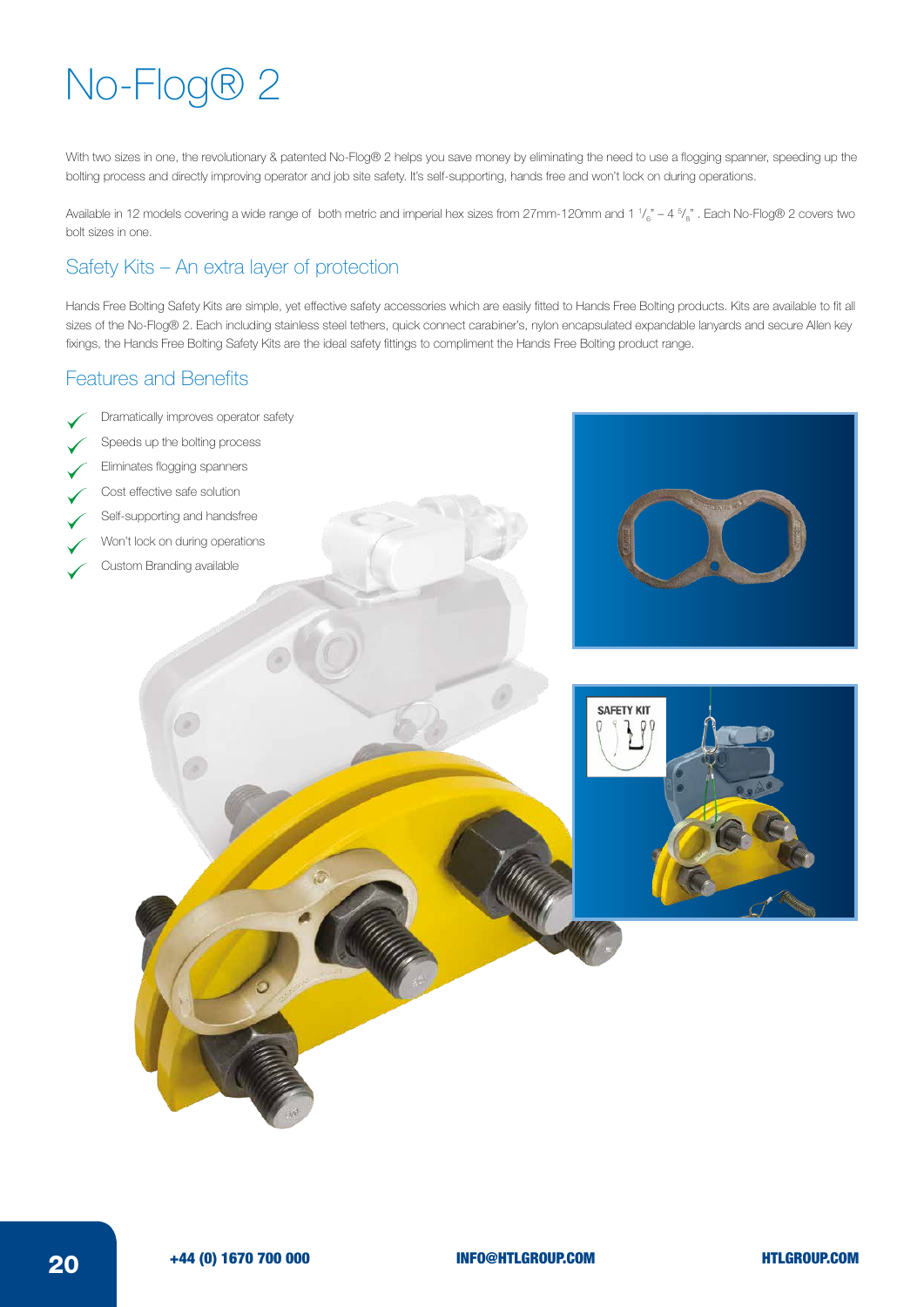## No-Flog® 2

With two sizes in one, the revolutionary & patented No-Flog® 2 helps you save money by eliminating the need to use a flogging spanner, speeding up the bolting process and directly improving operator and job site safety. It's self-supporting, hands free and won't lock on during operations.

Available in 12 models covering a wide range of both metric and imperial hex sizes from 27mm-120mm and 1  $V_{6}^{\mathrm{}}$  – 4  $^5\ell_{8}^{\mathrm{''}}$  . Each No-Flog® 2 covers two bolt sizes in one.

## Safety Kits – An extra layer of protection

Hands Free Bolting Safety Kits are simple, yet effective safety accessories which are easily fitted to Hands Free Bolting products. Kits are available to fit all sizes of the No-Flog® 2. Each including stainless steel tethers, quick connect carabiner's, nylon encapsulated expandable lanyards and secure Allen key fixings, the Hands Free Bolting Safety Kits are the ideal safety fittings to compliment the Hands Free Bolting product range.

## Features and Benefits

- Dramatically improves operator safety
- Speeds up the bolting process
- Eliminates flogging spanners
- Cost effective safe solution
- Self-supporting and handsfree
- Won't lock on during operations
- Custom Branding available